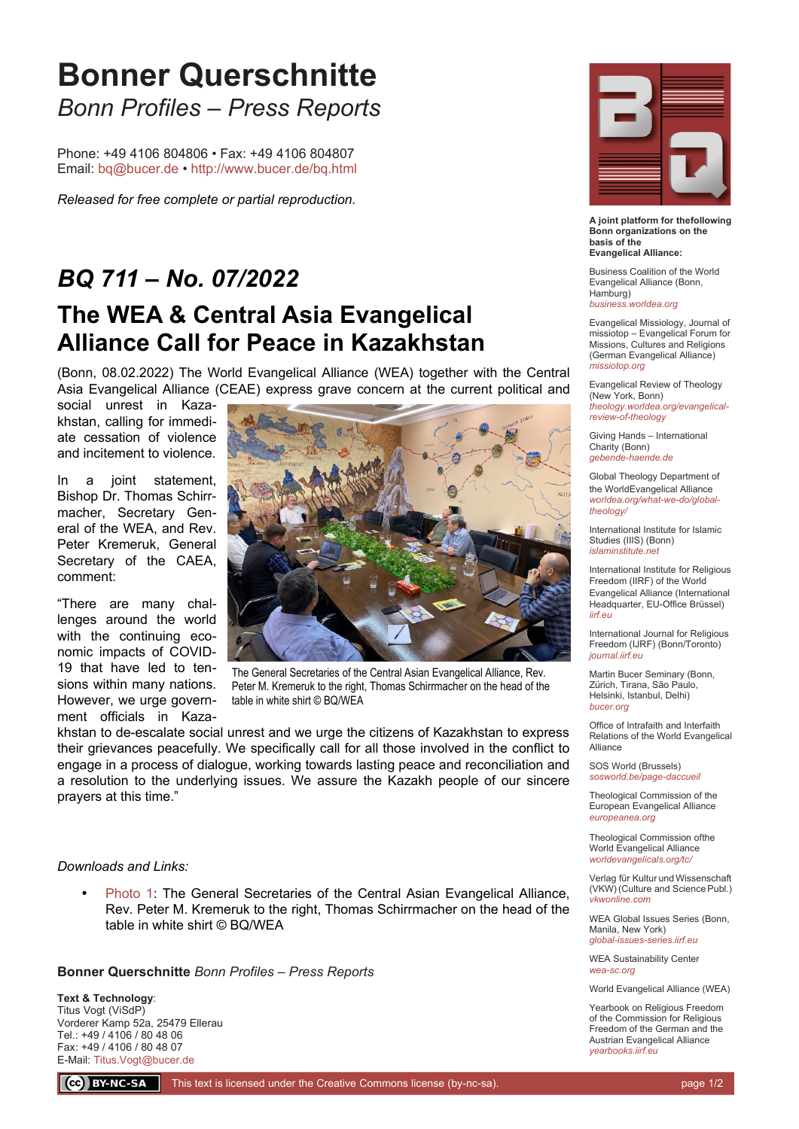## **Bonner Querschnitte** *Bonn Profiles – Press Reports*

Phone: +49 4106 804806 • Fax: +49 4106 804807 Email: [bq@bucer.de](mailto:bq@bucer.de?subject=Frage%20zu%20Bonner%20Querschnitte) •<http://www.bucer.de/bq.html>

*Released for free complete or partial reproduction.*

## *BQ 711 – No. 07/2022* **The WEA & Central Asia Evangelical Alliance Call for Peace in Kazakhstan**

(Bonn, 08.02.2022) The World Evangelical Alliance (WEA) together with the Central Asia Evangelical Alliance (CEAE) express grave concern at the current political and

social unrest in Kazakhstan, calling for immediate cessation of violence and incitement to violence.

In a joint statement, Bishop Dr. Thomas Schirrmacher, Secretary General of the WEA, and Rev. Peter Kremeruk, General Secretary of the CAEA, comment:

"There are many challenges around the world with the continuing economic impacts of COVID-19 that have led to tensions within many nations. However, we urge government officials in Kaza-



The General Secretaries of the Central Asian Evangelical Alliance, Rev. Peter M. Kremeruk to the right. Thomas Schirrmacher on the head of the table in white shirt © BQ/WEA

khstan to de-escalate social unrest and we urge the citizens of Kazakhstan to express their grievances peacefully. We specifically call for all those involved in the conflict to engage in a process of dialogue, working towards lasting peace and reconciliation and a resolution to the underlying issues. We assure the Kazakh people of our sincere prayers at this time."

## *Downloads and Links:*

 [Photo 1](https://bucer.org/fileadmin/dateien/Dokumente/BQs/BQ700ff/BQ711/BQ0711_1.jpg): The General Secretaries of the Central Asian Evangelical Alliance, Rev. Peter M. Kremeruk to the right, Thomas Schirrmacher on the head of the table in white shirt © BQ/WEA

**Bonner Querschnitte** *Bonn Profiles – Press Reports*

**Text & Technology**: Titus Vogt (ViSdP) Vorderer Kamp 52a, 25479 Ellerau Tel.: +49 / 4106 / 80 48 06 Fax: +49 / 4106 / 80 48 07 E-Mail: [Titus.Vogt@bucer.de](mailto:Titus.Vogt@bucer.de)



**A joint platform for thefollowing Bonn organizations on the basis of the Evangelical Alliance:**

Business Coalition of the World Evangelical Alliance (Bonn, Hamburg) *[business.worldea.org](https://business.worldea.org/)*

Evangelical Missiology, Journal of missiotop – Evangelical Forum for Missions, Cultures and Religions (German Evangelical Alliance) *[missiotop.org](http://www.missiotop.org/)*

Evangelical Review of Theology (New York, Bonn) *[theology.worldea.org/evangelical](https://theology.worldea.org/evangelical-review-of-theology/)[review-of-theology](https://theology.worldea.org/evangelical-review-of-theology/)*

Giving Hands – International Charity (Bonn) *[gebende-haende.de](http://www.gebende-haende.de/)*

Global Theology Department of the WorldEvangelical Alliance *[worldea.org/what-we-do/global](https://worldea.org/what-we-do/global-theology/)[theology/](https://worldea.org/what-we-do/global-theology/)*

International Institute for Islamic Studies (IIIS) (Bonn) *[islaminstitute.net](http://www.islaminstitute.net/)*

International Institute for Religious Freedom (IIRF) of the World Evangelical Alliance (International Headquarter, EU-Office Brüssel) *[iirf.eu](http://www.iirf.eu/)*

International Journal for Religious Freedom (IJRF) (Bonn/Toronto) *[journal.iirf.eu](http://journal.iirf.eu/)*

Martin Bucer Seminary (Bonn, Zürich, Tirana, São Paulo, Helsinki, Istanbul, Delhi) *[bucer.org](http://www.bucer.org/)*

Office of Intrafaith and Interfaith Relations of the World Evangelical Alliance

SOS World (Brussels) *[sosworld.be/page-daccueil](http://www.sosworld.be/page-daccueil/)*

Theological Commission of the European Evangelical Alliance *[europeanea.org](http://www.europeanea.org/)*

Theological Commission ofthe World Evangelical Alliance *[worldevangelicals.org/tc/](http://www.worldevangelicals.org/tc/)*

Verlag für Kultur und Wissenschaft (VKW) (Culture and Science Publ.) *[vkwonline.com](http://www.vkwonline.com/)*

WEA Global Issues Series (Bonn, Manila, New York) *[global-issues-series.iirf.eu](https://iirf.eu/journal-books/global-issues-series/)*

WEA Sustainability Center *[wea-sc.org](http://www.wea-sc.org/)*

World Evangelical Alliance (WEA)

Yearbook on Religious Freedom of the Commission for Religious Freedom of the German and the Austrian Evangelical Alliance *[yearbooks.iirf.eu](http://yearbooks.iirf.eu/)*

CC BY-NC-SA